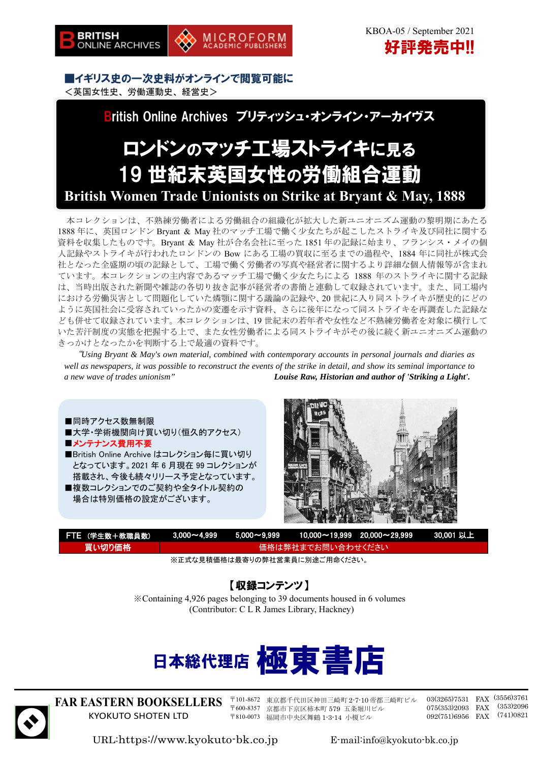■イギリス史の一次史料がオンラインで閲覧可能に <英国女性史、労働運動史、経営史>

British Online Archives ブリティッシュ・オンライン・アーカイヴス

**MICROFORM** 

ACADEMIC PUBLISHERS

# ロンドンのマッチ工場ストライキに見る 19 世紀末英国女性の労働組合運動 **British Women Trade Unionists on Strike at Bryant & May, 1888**

本コレクションは、不熟練労働者による労働組合の組織化が拡大した新ユニオニズム運動の黎明期にあたる 1888 年に、英国ロンドン Bryant & May 社のマッチ工場で働く少女たちが起こしたストライキ及び同社に関する 資料を収集したものです。Bryant & May 社が合名会社に至った 1851 年の記録に始まり、フランシス・メイの個 人記録やストライキが行われたロンドンの Bow にある工場の買収に至るまでの過程や、1884 年に同社が株式会 社となった全盛期の頃の記録として、工場で働く労働者の写真や経営者に関するより詳細な個人情報等が含まれ ています。本コレクションの主内容であるマッチ工場で働く少女たちによる 1888 年のストライキに関する記録 は、当時出版された新聞や雑誌の各切り抜き記事が経営者の書簡と連動して収録されています。また、同工場内 における労働災害として問題化していた燐顎に関する議論の記録や、20 世紀に入り同ストライキが歴史的にどの ように英国社会に受容されていったかの変遷を示す資料、さらに後年になって同ストライキを再調査した記録な ども併せて収録されています。本コレクションは、19 世紀末の若年者や女性など不熟練労働者を対象に横行して いた苦汗制度の実態を把握する上で、また女性労働者による同ストライキがその後に続く新ユニオニズム運動の きっかけとなったかを判断する上で最適の資料です。

"*Using Bryant & May's own material, combined with contemporary accounts in personal journals and diaries as well as newspapers, it was possible to reconstruct the events of the strike in detail, and show its seminal importance to a new wave of trades unionism" Louise Raw, Historian and author of 'Striking a Light'.*

## ■同時アクセス数無制限

- ■大学・学術機関向け買い切り(恒久的アクセス) ■メンテナンス費用不要
- ■British Online Archive はコレクション毎に買い切り となっています。2021 年 6 月現在 99 コレクションが 搭載され、今後も続々リリース予定となっています。 ■複数コレクションでのご契約や全タイトル契約の

場合は特別価格の設定がございます。



| FTE (学生数+教職員数)                                                                                                                                                                                                                                      |                   |  | N  3,000~4,999        5,000~9,999        10,000~19,999     20,000~29,999         30,001 以上 \ |  |  |
|-----------------------------------------------------------------------------------------------------------------------------------------------------------------------------------------------------------------------------------------------------|-------------------|--|----------------------------------------------------------------------------------------------|--|--|
| 買い切り価格                                                                                                                                                                                                                                              | 価格は弊社までお問い合わせください |  |                                                                                              |  |  |
| $\mathbf{u} = \mathbf{u} \cdot \mathbf{u} + \mathbf{u} \cdot \mathbf{u}$ , $\mathbf{u} = \mathbf{u} \cdot \mathbf{u} + \mathbf{u} \cdot \mathbf{u}$ , $\mathbf{u} \cdot \mathbf{u} \cdot \mathbf{u} + \mathbf{u} \cdot \mathbf{u} \cdot \mathbf{u}$ |                   |  |                                                                                              |  |  |

※正式な見積価格は最寄りの弊社営業員に別途ご用命ください。

# 【収録コンテンツ】

※Containing 4,926 pages belonging to 39 documents housed in 6 volumes (Contributor: C L R James Library, Hackney)





**FAR EASTERN BOOKSELLERS**  KYOKUTO SHOTEN LTD

〒101-8672 東京都千代田区神田三崎町 2-7-10 帝都三崎町ビル 〒600-8357 京都市下京区柿本町 579 五条堀川ビル 〒810-0073 福岡市中央区舞鶴 1-3-14 小榎ビル

03(3265)7531 FAX (3556)3761 075(353)2093 FAX (353)2096 092(751)6956 FAX (741)0821

URL:https://www.kyokuto-bk.co.jp E-mail:info@kyokuto-bk.co.jp